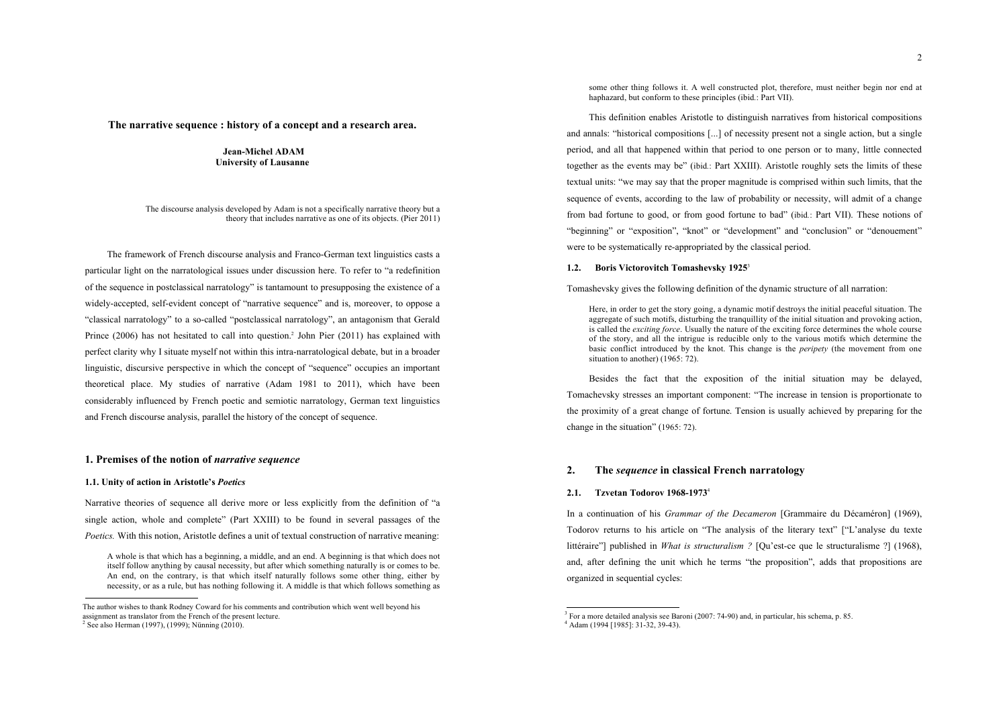### **The narrative sequence : history of a concept and a research area.**

### **Jean-Michel ADAM University of Lausanne**

The discourse analysis developed by Adam is not a specifically narrative theory but a theory that includes narrative as one of its objects. (Pier 2011)

The framework of French discourse analysis and Franco-German text linguistics casts a particular light on the narratological issues under discussion here. To refer to "a redefinition of the sequence in postclassical narratology" is tantamount to presupposing the existence of a widely-accepted, self-evident concept of "narrative sequence" and is, moreover, to oppose a "classical narratology" to a so-called "postclassical narratology", an antagonism that Gerald Prince (2006) has not hesitated to call into question.<sup>2</sup> John Pier (2011) has explained with perfect clarity why I situate myself not within this intra-narratological debate, but in a broader linguistic, discursive perspective in which the concept of "sequence" occupies an important theoretical place. My studies of narrative (Adam 1981 to 2011), which have been considerably influenced by French poetic and semiotic narratology, German text linguistics and French discourse analysis, parallel the history of the concept of sequence.

### **1. Premises of the notion of** *narrative sequence*

#### **1.1. Unity of action in Aristotle's** *Poetics*

Narrative theories of sequence all derive more or less explicitly from the definition of "a single action, whole and complete" (Part XXIII) to be found in several passages of the *Poetics.* With this notion, Aristotle defines a unit of textual construction of narrative meaning:

 $\overline{a}$ 

some other thing follows it. A well constructed plot, therefore, must neither begin nor end at haphazard, but conform to these principles (ibid*.*: Part VII).

This definition enables Aristotle to distinguish narratives from historical compositions and annals: "historical compositions [...] of necessity present not a single action, but a single period, and all that happened within that period to one person or to many, little connected together as the events may be" (ibid*.*: Part XXIII). Aristotle roughly sets the limits of these textual units: "we may say that the proper magnitude is comprised within such limits, that the sequence of events, according to the law of probability or necessity, will admit of a change from bad fortune to good, or from good fortune to bad" (ibid*.*: Part VII). These notions of "beginning" or "exposition", "knot" or "development" and "conclusion" or "denouement" were to be systematically re-appropriated by the classical period.

### **1.2. Boris Victorovitch Tomashevsky 1925**<sup>3</sup>

Tomashevsky gives the following definition of the dynamic structure of all narration:

Here, in order to get the story going, a dynamic motif destroys the initial peaceful situation. The aggregate of such motifs, disturbing the tranquillity of the initial situation and provoking action, is called the *exciting force*. Usually the nature of the exciting force determines the whole course of the story, and all the intrigue is reducible only to the various motifs which determine the basic conflict introduced by the knot. This change is the *peripety* (the movement from one situation to another) (1965: 72).

Besides the fact that the exposition of the initial situation may be delayed, Tomachevsky stresses an important component: "The increase in tension is proportionate to the proximity of a great change of fortune. Tension is usually achieved by preparing for the change in the situation" (1965: 72).

### **2. The** *sequence* **in classical French narratology**

#### **2.1. Tzvetan Todorov 1968-1973**<sup>4</sup>

In a continuation of his *Grammar of the Decameron* [Grammaire du Décaméron] (1969), Todorov returns to his article on "The analysis of the literary text" ["L'analyse du texte littéraire"] published in *What is structuralism ?* [Qu'est-ce que le structuralisme ?] (1968), and, after defining the unit which he terms "the proposition", adds that propositions are organized in sequential cycles:

A whole is that which has a beginning, a middle, and an end. A beginning is that which does not itself follow anything by causal necessity, but after which something naturally is or comes to be. An end, on the contrary, is that which itself naturally follows some other thing, either by necessity, or as a rule, but has nothing following it. A middle is that which follows something as

The author wishes to thank Rodney Coward for his comments and contribution which went well beyond his assignment as translator from the French of the present lecture.

 $2$  See also Herman (1997), (1999); Nünning (2010).

<sup>&</sup>lt;sup>3</sup> For a more detailed analysis see Baroni (2007: 74-90) and, in particular, his schema, p. 85.  $4$  Adam (1994 [1985]: 31-32, 39-43).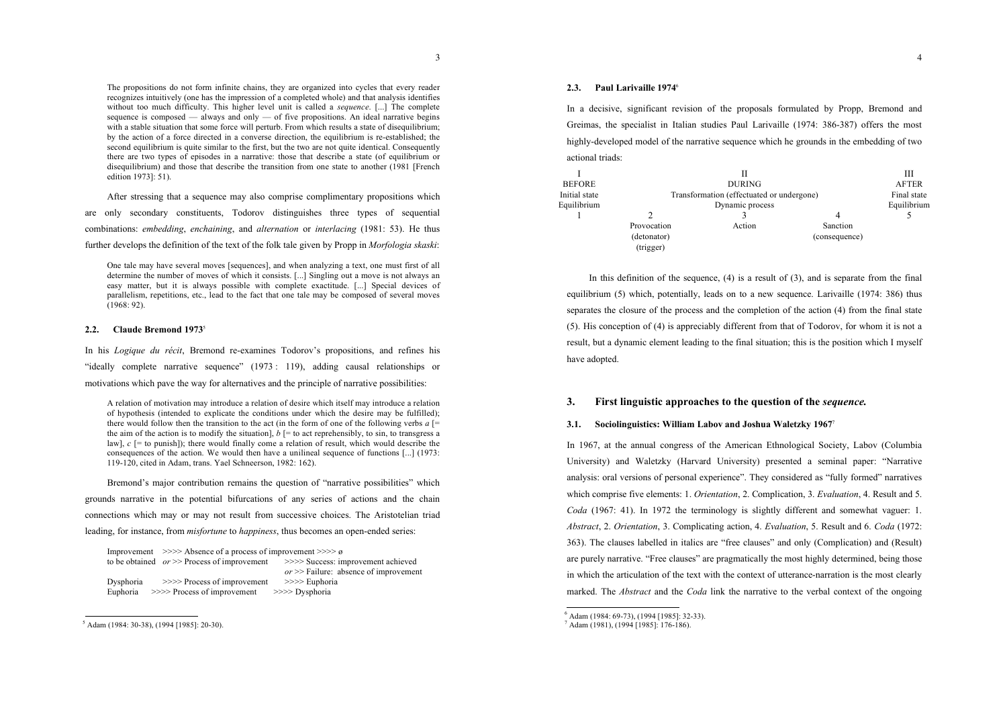The propositions do not form infinite chains, they are organized into cycles that every reader recognizes intuitively (one has the impression of a completed whole) and that analysis identifies without too much difficulty. This higher level unit is called a *sequence*. [...] The complete sequence is composed — always and only — of five propositions. An ideal narrative begins with a stable situation that some force will perturb. From which results a state of disequilibrium; by the action of a force directed in a converse direction, the equilibrium is re-established; the second equilibrium is quite similar to the first, but the two are not quite identical. Consequently there are two types of episodes in a narrative: those that describe a state (of equilibrium or disequilibrium) and those that describe the transition from one state to another (1981 [French edition 1973]: 51).

After stressing that a sequence may also comprise complimentary propositions which are only secondary constituents, Todorov distinguishes three types of sequential combinations: *embedding*, *enchaining*, and *alternation* or *interlacing* (1981: 53). He thus further develops the definition of the text of the folk tale given by Propp in *Morfologia skaski*:

One tale may have several moves [sequences], and when analyzing a text, one must first of all determine the number of moves of which it consists. [...] Singling out a move is not always an easy matter, but it is always possible with complete exactitude. [...] Special devices of parallelism, repetitions, etc., lead to the fact that one tale may be composed of several moves (1968: 92).

#### **2.2. Claude Bremond 1973**<sup>5</sup>

In his *Logique du récit*, Bremond re-examines Todorov's propositions, and refines his "ideally complete narrative sequence" (1973 : 119), adding causal relationships or motivations which pave the way for alternatives and the principle of narrative possibilities:

A relation of motivation may introduce a relation of desire which itself may introduce a relation of hypothesis (intended to explicate the conditions under which the desire may be fulfilled); there would follow then the transition to the act (in the form of one of the following verbs  $a \neq 0$ the aim of the action is to modify the situation],  $b \mid$  = to act reprehensibly, to sin, to transgress a law],  $c$  [= to punish]); there would finally come a relation of result, which would describe the consequences of the action. We would then have a unilineal sequence of functions [...] (1973: 119-120, cited in Adam, trans. Yael Schneerson, 1982: 162).

Bremond's major contribution remains the question of "narrative possibilities" which grounds narrative in the potential bifurcations of any series of actions and the chain connections which may or may not result from successive choices. The Aristotelian triad leading, for instance, from *misfortune* to *happiness*, thus becomes an open-ended series:

|           | Improvement $\gg$ >>> Absence of a process of improvement >>>> $\varnothing$ |                                          |  |
|-----------|------------------------------------------------------------------------------|------------------------------------------|--|
|           | to be obtained $or \gg$ Process of improvement                               | >>>> Success: improvement achieved       |  |
|           |                                                                              | $or \gg$ Failure: absence of improvement |  |
| Dysphoria | $\gg$ Process of improvement                                                 | $\gg >>$ Euphoria                        |  |
| Euphoria  | $\gg$ Process of improvement                                                 | $>>$ Dysphoria                           |  |

<sup>5</sup> Adam (1984: 30-38), (1994 [1985]: 20-30).

## **2.3. Paul Larivaille 1974**<sup>6</sup>

In a decisive, significant revision of the proposals formulated by Propp, Bremond and Greimas, the specialist in Italian studies Paul Larivaille (1974: 386-387) offers the most highly-developed model of the narrative sequence which he grounds in the embedding of two actional triads:

|               |                                           |               |               | Ш            |
|---------------|-------------------------------------------|---------------|---------------|--------------|
| <b>BEFORE</b> |                                           | <b>DURING</b> |               | <b>AFTER</b> |
| Initial state | Transformation (effectuated or undergone) |               | Final state   |              |
| Equilibrium   | Dynamic process                           |               | Equilibrium   |              |
|               |                                           |               |               |              |
|               | Provocation                               | Action        | Sanction      |              |
|               | (detonator)                               |               | (consequence) |              |
|               | (trigger)                                 |               |               |              |

In this definition of the sequence, (4) is a result of (3), and is separate from the final equilibrium (5) which, potentially, leads on to a new sequence. Larivaille (1974: 386) thus separates the closure of the process and the completion of the action (4) from the final state (5). His conception of (4) is appreciably different from that of Todorov, for whom it is not a result, but a dynamic element leading to the final situation; this is the position which I myself have adopted.

## **3. First linguistic approaches to the question of the** *sequence.*

#### **3.1. Sociolinguistics: William Labov and Joshua Waletzky 1967**<sup>7</sup>

In 1967, at the annual congress of the American Ethnological Society, Labov (Columbia University) and Waletzky (Harvard University) presented a seminal paper: "Narrative analysis: oral versions of personal experience". They considered as "fully formed" narratives which comprise five elements: 1. *Orientation*, 2. Complication, 3. *Evaluation*, 4. Result and 5. *Coda* (1967: 41). In 1972 the terminology is slightly different and somewhat vaguer: 1. *Abstract*, 2. *Orientation*, 3. Complicating action, 4. *Evaluation*, 5. Result and 6. *Coda* (1972: 363). The clauses labelled in italics are "free clauses" and only (Complication) and (Result) are purely narrative. "Free clauses" are pragmatically the most highly determined, being those in which the articulation of the text with the context of utterance-narration is the most clearly marked. The *Abstract* and the *Coda* link the narrative to the verbal context of the ongoing

 $\frac{6}{7}$  Adam (1984: 69-73), (1994 [1985]: 32-33).<br> $\frac{7}{7}$  Adam (1981), (1994 [1985]: 176-186).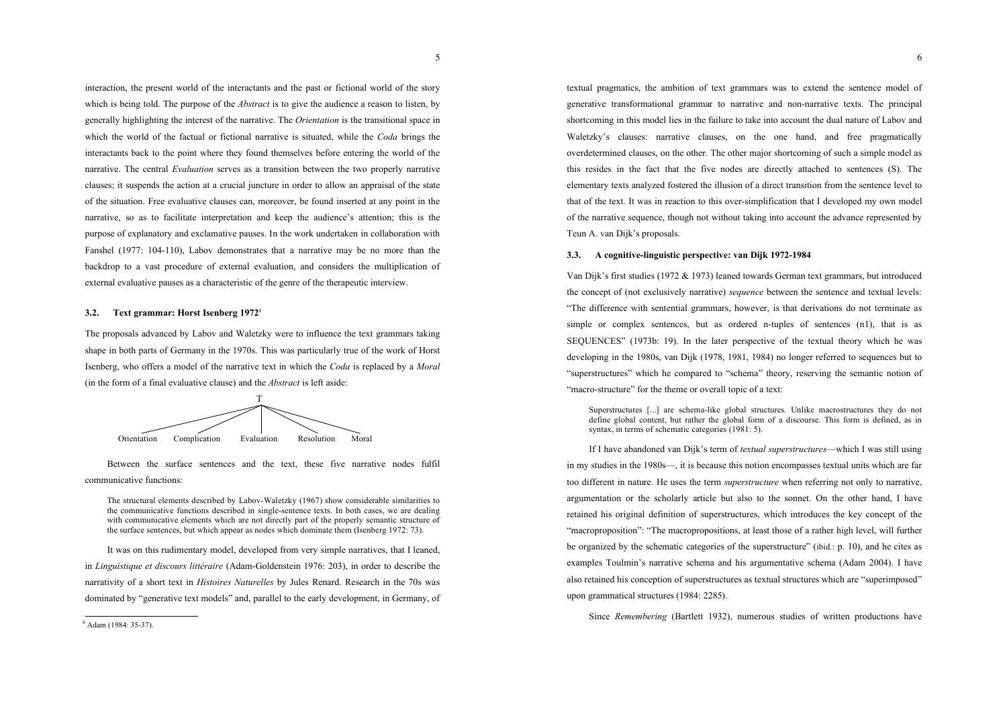interaction, the present world of the interactants and the past or fictional world of the story which is being told. The purpose of the *Abstract* is to give the audience a reason to listen, by generally highlighting the interest of the narrative. The *Orientation* is the transitional space in which the world of the factual or fictional narrative is situated, while the *Coda* brings the interactants back to the point where they found themselves before entering the world of the narrative. The central *Evaluation* serves as a transition between the two properly narrative clauses; it suspends the action at a crucial juncture in order to allow an appraisal of the state of the situation. Free evaluative clauses can, moreover, be found inserted at any point in the narrative, so as to facilitate interpretation and keep the audience's attention; this is the purpose of explanatory and exclamative pauses. In the work undertaken in collaboration with Fanshel (1977: 104-110), Labov demonstrates that a narrative may be no more than the backdrop to a vast procedure of external evaluation, and considers the multiplication of external evaluative pauses as a characteristic of the genre of the therapeutic interview.

#### **3.2. Text grammar: Horst Isenberg 1972**<sup>8</sup>

The proposals advanced by Labov and Waletzky were to influence the text grammars taking shape in both parts of Germany in the 1970s. This was particularly true of the work of Horst Isenberg, who offers a model of the narrative text in which the *Coda* is replaced by a *Moral* (in the form of a final evaluative clause) and the *Abstract* is left aside:



Between the surface sentences and the text, these five narrative nodes fulfil communicative functions:

The structural elements described by Labov-Waletzky (1967) show considerable similarities to the communicative functions described in single-sentence texts. In both cases, we are dealing with communicative elements which are not directly part of the properly semantic structure of the surface sentences, but which appear as nodes which dominate them (Isenberg 1972: 73).

It was on this rudimentary model, developed from very simple narratives, that I leaned, in *Linguistique et discours littéraire* (Adam-Goldenstein 1976: 203), in order to describe the narrativity of a short text in *Histoires Naturelles* by Jules Renard. Research in the 70s was dominated by "generative text models" and, parallel to the early development, in Germany, of

<sup>8</sup> Adam (1984: 35-37).

textual pragmatics, the ambition of text grammars was to extend the sentence model of generative transformational grammar to narrative and non-narrative texts. The principal shortcoming in this model lies in the failure to take into account the dual nature of Labov and Waletzky's clauses: narrative clauses, on the one hand, and free pragmatically overdetermined clauses, on the other. The other major shortcoming of such a simple model as this resides in the fact that the five nodes are directly attached to sentences (S). The elementary texts analyzed fostered the illusion of a direct transition from the sentence level to that of the text. It was in reaction to this over-simplification that I developed my own model of the narrative sequence, though not without taking into account the advance represented by Teun A. van Dijk's proposals.

#### **3.3. A cognitive-linguistic perspective: van Dijk 1972-1984**

Van Dijk's first studies (1972 & 1973) leaned towards German text grammars, but introduced the concept of (not exclusively narrative) *sequence* between the sentence and textual levels: "The difference with sentential grammars, however, is that derivations do not terminate as simple or complex sentences, but as ordered n-tuples of sentences (n1), that is as SEQUENCES" (1973b: 19). In the later perspective of the textual theory which he was developing in the 1980s, van Dijk (1978, 1981, 1984) no longer referred to sequences but to "superstructures" which he compared to "schema" theory, reserving the semantic notion of "macro-structure" for the theme or overall topic of a text:

Superstructures [...] are schema-like global structures. Unlike macrostructures they do not define global content, but rather the global form of a discourse. This form is defined, as in syntax, in terms of schematic categories (1981: 5).

If I have abandoned van Dijk's term of *textual superstructures*—which I was still using in my studies in the 1980s—, it is because this notion encompasses textual units which are far too different in nature. He uses the term *superstructure* when referring not only to narrative, argumentation or the scholarly article but also to the sonnet. On the other hand, I have retained his original definition of superstructures, which introduces the key concept of the "macroproposition": "The macropropositions, at least those of a rather high level, will further be organized by the schematic categories of the superstructure" (ibid*.*: p. 10), and he cites as examples Toulmin's narrative schema and his argumentative schema (Adam 2004). I have also retained his conception of superstructures as textual structures which are "superimposed" upon grammatical structures (1984: 2285).

Since *Remembering* (Bartlett 1932), numerous studies of written productions have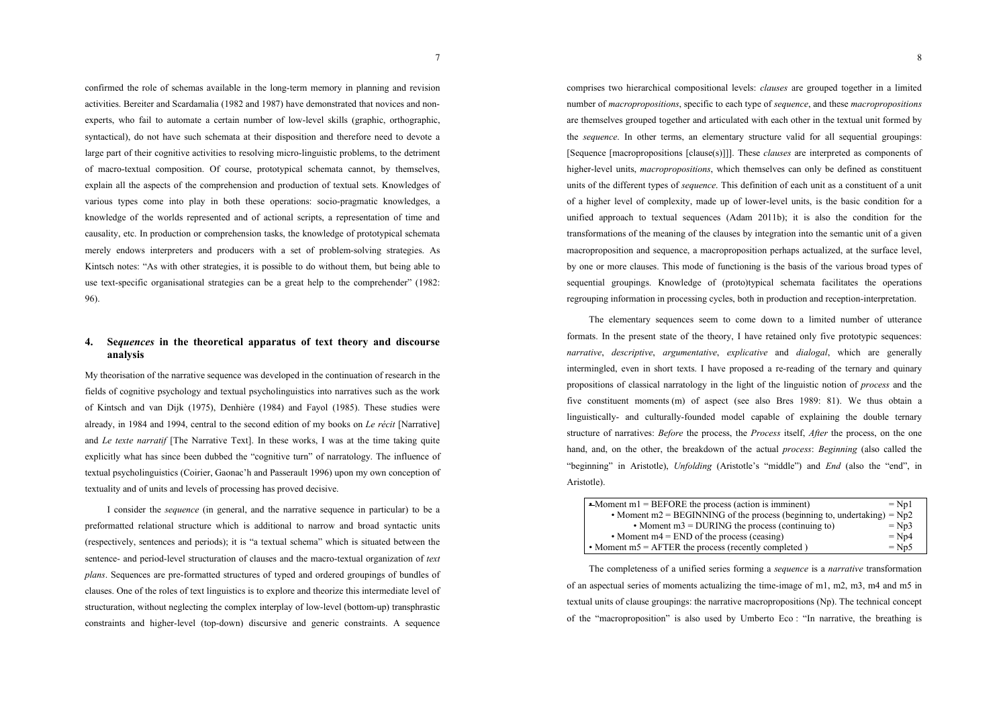confirmed the role of schemas available in the long-term memory in planning and revision activities. Bereiter and Scardamalia (1982 and 1987) have demonstrated that novices and nonexperts, who fail to automate a certain number of low-level skills (graphic, orthographic, syntactical), do not have such schemata at their disposition and therefore need to devote a large part of their cognitive activities to resolving micro-linguistic problems, to the detriment of macro-textual composition. Of course, prototypical schemata cannot, by themselves, explain all the aspects of the comprehension and production of textual sets. Knowledges of various types come into play in both these operations: socio-pragmatic knowledges, a knowledge of the worlds represented and of actional scripts, a representation of time and causality, etc. In production or comprehension tasks, the knowledge of prototypical schemata merely endows interpreters and producers with a set of problem-solving strategies. As Kintsch notes: "As with other strategies, it is possible to do without them, but being able to use text-specific organisational strategies can be a great help to the comprehender" (1982: 96).

# **4. Se***quences* **in the theoretical apparatus of text theory and discourse analysis**

My theorisation of the narrative sequence was developed in the continuation of research in the fields of cognitive psychology and textual psycholinguistics into narratives such as the work of Kintsch and van Dijk (1975), Denhière (1984) and Fayol (1985). These studies were already, in 1984 and 1994, central to the second edition of my books on *Le récit* [Narrative] and *Le texte narratif* [The Narrative Text]. In these works, I was at the time taking quite explicitly what has since been dubbed the "cognitive turn" of narratology. The influence of textual psycholinguistics (Coirier, Gaonac'h and Passerault 1996) upon my own conception of textuality and of units and levels of processing has proved decisive.

I consider the *sequence* (in general, and the narrative sequence in particular) to be a preformatted relational structure which is additional to narrow and broad syntactic units (respectively, sentences and periods); it is "a textual schema" which is situated between the sentence- and period-level structuration of clauses and the macro-textual organization of *text plans*. Sequences are pre-formatted structures of typed and ordered groupings of bundles of clauses. One of the roles of text linguistics is to explore and theorize this intermediate level of structuration, without neglecting the complex interplay of low-level (bottom-up) transphrastic constraints and higher-level (top-down) discursive and generic constraints. A sequence

comprises two hierarchical compositional levels: *clauses* are grouped together in a limited number of *macropropositions*, specific to each type of *sequence*, and these *macropropositions* are themselves grouped together and articulated with each other in the textual unit formed by the *sequence*. In other terms, an elementary structure valid for all sequential groupings: [Sequence [macropropositions [clause(s)]]]. These *clauses* are interpreted as components of higher-level units, *macropropositions*, which themselves can only be defined as constituent units of the different types of *sequence*. This definition of each unit as a constituent of a unit of a higher level of complexity, made up of lower-level units, is the basic condition for a unified approach to textual sequences (Adam 2011b); it is also the condition for the transformations of the meaning of the clauses by integration into the semantic unit of a given macroproposition and sequence, a macroproposition perhaps actualized, at the surface level, by one or more clauses. This mode of functioning is the basis of the various broad types of sequential groupings. Knowledge of (proto)typical schemata facilitates the operations regrouping information in processing cycles, both in production and reception-interpretation.

The elementary sequences seem to come down to a limited number of utterance formats. In the present state of the theory, I have retained only five prototypic sequences: *narrative*, *descriptive*, *argumentative*, *explicative* and *dialogal*, which are generally intermingled, even in short texts. I have proposed a re-reading of the ternary and quinary propositions of classical narratology in the light of the linguistic notion of *process* and the five constituent moments (m) of aspect (see also Bres 1989: 81). We thus obtain a linguistically- and culturally-founded model capable of explaining the double ternary structure of narratives: *Before* the process, the *Process* itself, *After* the process, on the one hand, and, on the other, the breakdown of the actual *process*: *Beginning* (also called the "beginning" in Aristotle), *Unfolding* (Aristotle's "middle") and *End* (also the "end", in Aristotle).

| $-Moment m1 = BEFORE$ the process (action is imminent)                     | $=$ Np1 |
|----------------------------------------------------------------------------|---------|
| • Moment m2 = BEGINNING of the process (beginning to, undertaking) = $Np2$ |         |
| • Moment $m3 = DURING$ the process (continuing to)                         | $=Np3$  |
| • Moment $m4 = END$ of the process (ceasing)                               | $=Np4$  |
| • Moment $m5 = AFTER$ the process (recently completed)                     | $= Np5$ |

The completeness of a unified series forming a *sequence* is a *narrative* transformation of an aspectual series of moments actualizing the time-image of m1, m2, m3, m4 and m5 in textual units of clause groupings: the narrative macropropositions (Np). The technical concept of the "macroproposition" is also used by Umberto Eco : "In narrative, the breathing is

7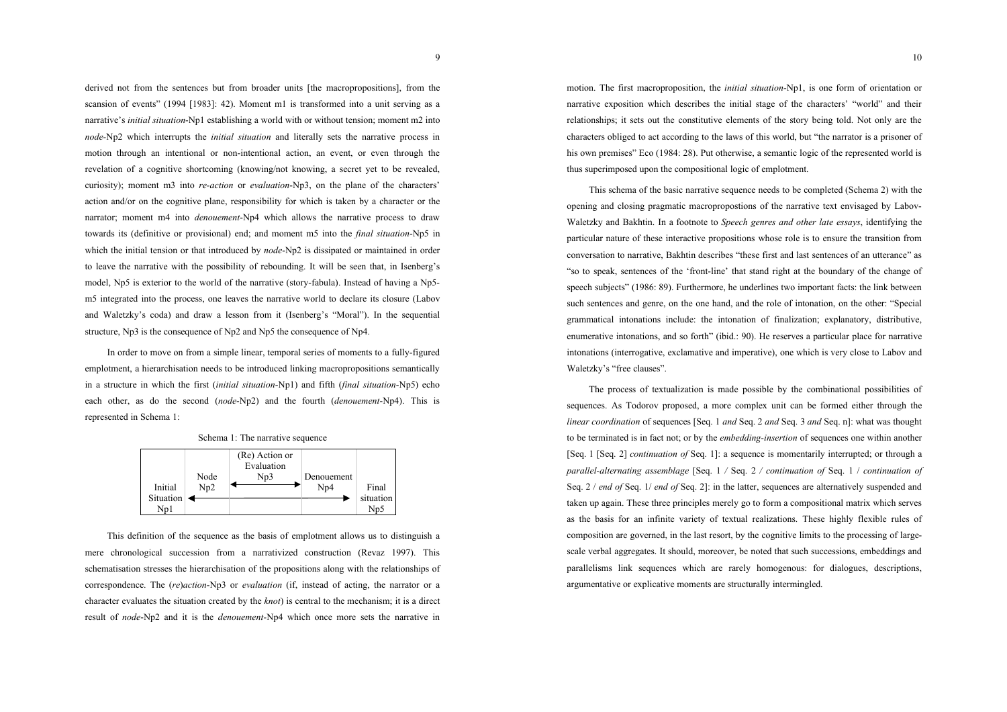derived not from the sentences but from broader units [the macropropositions], from the scansion of events" (1994 [1983]: 42). Moment m1 is transformed into a unit serving as a narrative's *initial situation*-Np1 establishing a world with or without tension; moment m2 into *node-*Np2 which interrupts the *initial situation* and literally sets the narrative process in motion through an intentional or non-intentional action, an event, or even through the revelation of a cognitive shortcoming (knowing/not knowing, a secret yet to be revealed, curiosity); moment m3 into *re-action* or *evaluation*-Np3, on the plane of the characters' action and/or on the cognitive plane, responsibility for which is taken by a character or the narrator; moment m4 into *denouement*-Np4 which allows the narrative process to draw towards its (definitive or provisional) end; and moment m5 into the *final situation*-Np5 in which the initial tension or that introduced by *node*-Np<sub>2</sub> is dissipated or maintained in order to leave the narrative with the possibility of rebounding. It will be seen that, in Isenberg's model, Np5 is exterior to the world of the narrative (story-fabula). Instead of having a Np5 m5 integrated into the process, one leaves the narrative world to declare its closure (Labov and Waletzky's coda) and draw a lesson from it (Isenberg's "Moral"). In the sequential structure, Np3 is the consequence of Np2 and Np5 the consequence of Np4.

In order to move on from a simple linear, temporal series of moments to a fully-figured emplotment, a hierarchisation needs to be introduced linking macropropositions semantically in a structure in which the first (*initial situation*-Np1) and fifth (*final situation*-Np5) echo each other, as do the second (*node*-Np2) and the fourth (*denouement*-Np4). This is represented in Schema 1:



This definition of the sequence as the basis of emplotment allows us to distinguish a mere chronological succession from a narrativized construction (Revaz 1997). This schematisation stresses the hierarchisation of the propositions along with the relationships of correspondence. The (*re*)*action*-Np3 or *evaluation* (if, instead of acting, the narrator or a character evaluates the situation created by the *knot*) is central to the mechanism; it is a direct result of *node*-Np2 and it is the *denouement-*Np4 which once more sets the narrative in

motion. The first macroproposition, the *initial situation*-Np1, is one form of orientation or narrative exposition which describes the initial stage of the characters' "world" and their relationships; it sets out the constitutive elements of the story being told. Not only are the characters obliged to act according to the laws of this world, but "the narrator is a prisoner of his own premises" Eco (1984: 28). Put otherwise, a semantic logic of the represented world is thus superimposed upon the compositional logic of emplotment.

This schema of the basic narrative sequence needs to be completed (Schema 2) with the opening and closing pragmatic macropropostions of the narrative text envisaged by Labov-Waletzky and Bakhtin. In a footnote to *Speech genres and other late essays*, identifying the particular nature of these interactive propositions whose role is to ensure the transition from conversation to narrative, Bakhtin describes "these first and last sentences of an utterance" as "so to speak, sentences of the 'front-line' that stand right at the boundary of the change of speech subjects" (1986: 89). Furthermore, he underlines two important facts: the link between such sentences and genre, on the one hand, and the role of intonation, on the other: "Special grammatical intonations include: the intonation of finalization; explanatory, distributive, enumerative intonations, and so forth" (ibid.: 90). He reserves a particular place for narrative intonations (interrogative, exclamative and imperative), one which is very close to Labov and Waletzky's "free clauses".

The process of textualization is made possible by the combinational possibilities of sequences. As Todorov proposed, a more complex unit can be formed either through the *linear coordination* of sequences [Seq. 1 *and* Seq. 2 *and* Seq. 3 *and* Seq. n]: what was thought to be terminated is in fact not; or by the *embedding-insertion* of sequences one within another [Seq. 1 [Seq. 2] *continuation of* Seq. 1]: a sequence is momentarily interrupted; or through a *parallel-alternating assemblage* [Seq. 1 */* Seq. 2 */ continuation of* Seq. 1 / *continuation of* Seq. 2 / *end of* Seq. 1/ *end of* Seq. 2]: in the latter, sequences are alternatively suspended and taken up again. These three principles merely go to form a compositional matrix which serves as the basis for an infinite variety of textual realizations. These highly flexible rules of composition are governed, in the last resort, by the cognitive limits to the processing of largescale verbal aggregates. It should, moreover, be noted that such successions, embeddings and parallelisms link sequences which are rarely homogenous: for dialogues, descriptions, argumentative or explicative moments are structurally intermingled.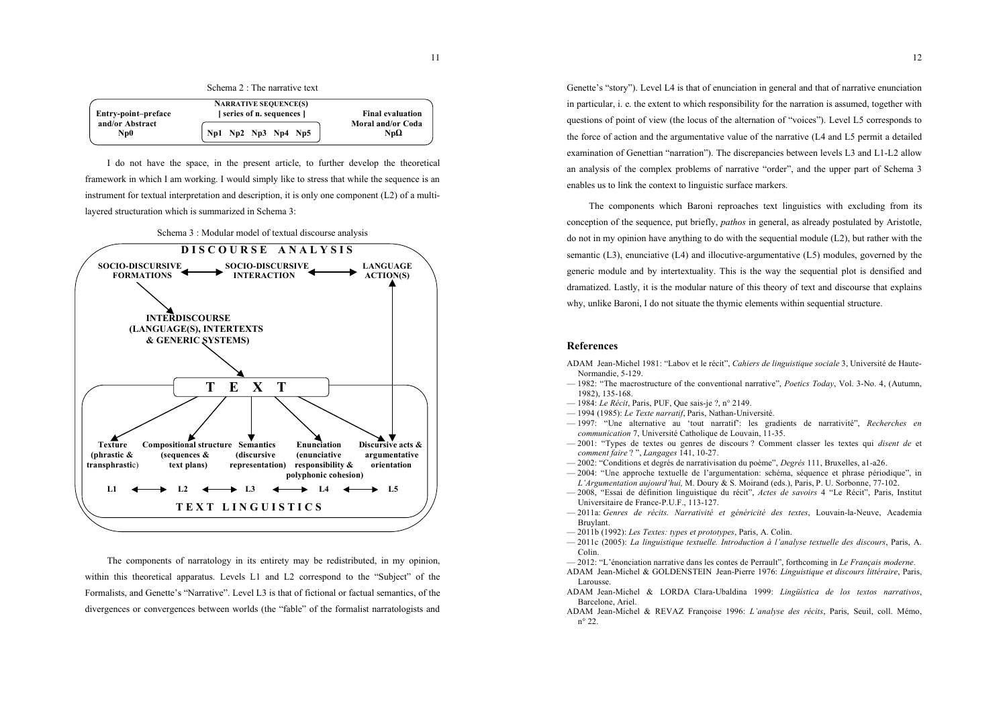| Schema 2 : The narrative text |  |  |
|-------------------------------|--|--|
|                               |  |  |

|                        | <b>NARRATIVE SEQUENCE(S)</b> |                                  |
|------------------------|------------------------------|----------------------------------|
| Entry-point-preface    | [series of n. sequences]     | <b>Final evaluation</b>          |
| and/or Abstract<br>Np0 | Np1 Np2 Np3 Np4 Np5          | Moral and/or Coda<br>Np $\Omega$ |
|                        |                              |                                  |

I do not have the space, in the present article, to further develop the theoretical framework in which I am working. I would simply like to stress that while the sequence is an instrument for textual interpretation and description, it is only one component (L2) of a multilayered structuration which is summarized in Schema 3:



The components of narratology in its entirety may be redistributed, in my opinion, within this theoretical apparatus. Levels L1 and L2 correspond to the "Subject" of the Formalists, and Genette's "Narrative". Level L3 is that of fictional or factual semantics, of the divergences or convergences between worlds (the "fable" of the formalist narratologists and

L1  $\longleftrightarrow$  L2  $\longleftrightarrow$  L3  $\longleftrightarrow$  L4  $\longleftrightarrow$  L5 **T E X T L I N G U I S T I C S**

Genette's "story"). Level L4 is that of enunciation in general and that of narrative enunciation in particular, i. e. the extent to which responsibility for the narration is assumed, together with questions of point of view (the locus of the alternation of "voices"). Level L5 corresponds to the force of action and the argumentative value of the narrative (L4 and L5 permit a detailed examination of Genettian "narration"). The discrepancies between levels L3 and L1-L2 allow an analysis of the complex problems of narrative "order", and the upper part of Schema 3 enables us to link the context to linguistic surface markers.

The components which Baroni reproaches text linguistics with excluding from its conception of the sequence, put briefly, *pathos* in general, as already postulated by Aristotle, do not in my opinion have anything to do with the sequential module (L2), but rather with the semantic  $(L3)$ , enunciative  $(L4)$  and illocutive-argumentative  $(L5)$  modules, governed by the generic module and by intertextuality. This is the way the sequential plot is densified and dramatized. Lastly, it is the modular nature of this theory of text and discourse that explains why, unlike Baroni, I do not situate the thymic elements within sequential structure.

### **References**

- ADAM Jean-Michel 1981: "Labov et le récit", *Cahiers de linguistique sociale* 3, Université de Haute-Normandie, 5-129.
- 1982: "The macrostructure of the conventional narrative", *Poetics Today*, Vol. 3-No. 4, (Autumn, 1982), 135-168.
- 1984: *Le Récit*, Paris, PUF, Que sais-je ?, n° 2149.
- 1994 (1985): *Le Texte narratif*, Paris, Nathan-Université.
- 1997: "Une alternative au 'tout narratif': les gradients de narrativité", *Recherches en communication* 7, Université Catholique de Louvain, 11-35.
- 2001: "Types de textes ou genres de discours ? Comment classer les textes qui *disent de* et *comment faire* ? ", *Langages* 141, 10-27.
- 2002: "Conditions et degrés de narrativisation du poème", *Degrés* 111, Bruxelles, a1-a26.
- 2004: "Une approche textuelle de l'argumentation: schéma, séquence et phrase périodique", in *L'Argumentation aujourd'hui,* M. Doury & S. Moirand (eds.), Paris, P. U. Sorbonne, 77-102.
- 2008, "Essai de définition linguistique du récit", *Actes de savoirs* 4 "Le Récit", Paris, Institut Universitaire de France-P.U.F., 113-127.
- 2011a: *Genres de récits. Narrativité et généricité des textes*, Louvain-la-Neuve, Academia Bruylant.
- 2011b (1992): *Les Textes: types et prototypes*, Paris, A. Colin.
- 2011c (2005): *La linguistique textuelle. Introduction à l'analyse textuelle des discours*, Paris, A. Colin.
- 2012: "L'énonciation narrative dans les contes de Perrault", forthcoming in *Le Français moderne.*
- ADAM Jean-Michel & GOLDENSTEIN Jean-Pierre 1976: *Linguistique et discours littéraire*, Paris, Larousse.
- ADAM Jean-Michel & LORDA Clara-Ubaldina 1999: *Lingüística de los textos narrativos*, Barcelone, Ariel.
- ADAM Jean-Michel & REVAZ Françoise 1996: *L'analyse des récits*, Paris, Seuil, coll. Mémo, n° 22.